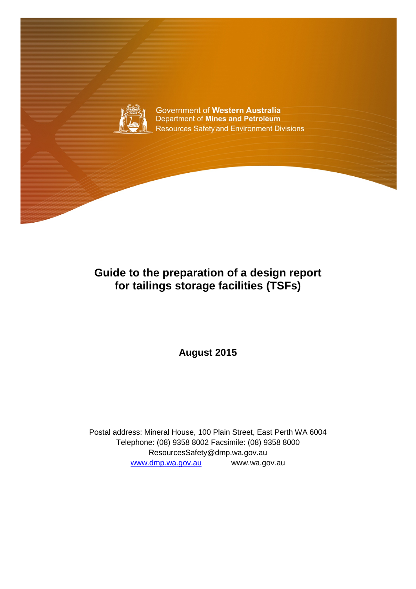

## **Guide to the preparation of a design report for tailings storage facilities (TSFs)**

**August 2015**

Postal address: Mineral House, 100 Plain Street, East Perth WA 6004 Telephone: (08) 9358 8002 Facsimile: (08) 9358 8000 ResourcesSafety@dmp.wa.gov.au [www.dmp.wa.gov.au](http://www.dmp.wa.gov.au/) www.wa.gov.au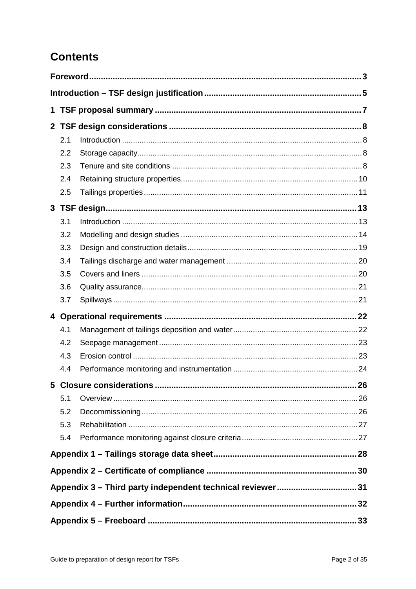# **Contents**

| 1                                                         |     |                          |     |  |  |  |
|-----------------------------------------------------------|-----|--------------------------|-----|--|--|--|
|                                                           |     |                          |     |  |  |  |
|                                                           | 2.1 |                          |     |  |  |  |
|                                                           | 2.2 |                          |     |  |  |  |
|                                                           | 2.3 |                          |     |  |  |  |
|                                                           | 2.4 |                          |     |  |  |  |
|                                                           | 2.5 |                          |     |  |  |  |
|                                                           |     |                          |     |  |  |  |
|                                                           | 3.1 |                          |     |  |  |  |
|                                                           | 3.2 |                          |     |  |  |  |
|                                                           | 3.3 |                          |     |  |  |  |
|                                                           | 3.4 |                          |     |  |  |  |
|                                                           | 3.5 |                          |     |  |  |  |
|                                                           | 3.6 |                          |     |  |  |  |
|                                                           | 3.7 |                          |     |  |  |  |
|                                                           |     |                          |     |  |  |  |
|                                                           | 4.1 |                          |     |  |  |  |
|                                                           | 4.2 |                          |     |  |  |  |
|                                                           | 4.3 |                          |     |  |  |  |
|                                                           | 4.4 |                          |     |  |  |  |
|                                                           |     | 5 Closure considerations | .26 |  |  |  |
|                                                           | 5.1 |                          |     |  |  |  |
|                                                           | 5.2 |                          |     |  |  |  |
|                                                           | 5.3 |                          |     |  |  |  |
|                                                           | 5.4 |                          |     |  |  |  |
|                                                           |     |                          |     |  |  |  |
|                                                           |     |                          |     |  |  |  |
| Appendix 3 - Third party independent technical reviewer31 |     |                          |     |  |  |  |
|                                                           |     |                          |     |  |  |  |
|                                                           |     |                          |     |  |  |  |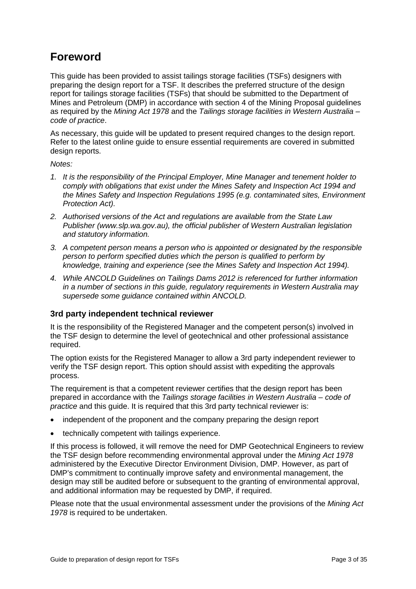## <span id="page-2-0"></span>**Foreword**

This guide has been provided to assist tailings storage facilities (TSFs) designers with preparing the design report for a TSF. It describes the preferred structure of the design report for tailings storage facilities (TSFs) that should be submitted to the Department of Mines and Petroleum (DMP) in accordance with section 4 of the Mining Proposal guidelines as required by the *Mining Act 1978* and the *Tailings storage facilities in Western Australia – code of practice*.

As necessary, this guide will be updated to present required changes to the design report. Refer to the latest online guide to ensure essential requirements are covered in submitted design reports.

*Notes:* 

- *1. It is the responsibility of the Principal Employer, Mine Manager and tenement holder to comply with obligations that exist under the Mines Safety and Inspection Act 1994 and the Mines Safety and Inspection Regulations 1995 (e.g. contaminated sites, Environment Protection Act).*
- *2. Authorised versions of the Act and regulations are available from the State Law Publisher (www.slp.wa.gov.au), the official publisher of Western Australian legislation and statutory information.*
- *3. A competent person means a person who is appointed or designated by the responsible person to perform specified duties which the person is qualified to perform by knowledge, training and experience (see the Mines Safety and Inspection Act 1994).*
- *4. While ANCOLD Guidelines on Tailings Dams 2012 is referenced for further information in a number of sections in this guide, regulatory requirements in Western Australia may supersede some guidance contained within ANCOLD.*

#### **3rd party independent technical reviewer**

It is the responsibility of the Registered Manager and the competent person(s) involved in the TSF design to determine the level of geotechnical and other professional assistance required.

The option exists for the Registered Manager to allow a 3rd party independent reviewer to verify the TSF design report. This option should assist with expediting the approvals process.

The requirement is that a competent reviewer certifies that the design report has been prepared in accordance with the *Tailings storage facilities in Western Australia – code of practice* and this guide. It is required that this 3rd party technical reviewer is:

- independent of the proponent and the company preparing the design report
- technically competent with tailings experience.

If this process is followed, it will remove the need for DMP Geotechnical Engineers to review the TSF design before recommending environmental approval under the *Mining Act 1978* administered by the Executive Director Environment Division, DMP. However, as part of DMP's commitment to continually improve safety and environmental management, the design may still be audited before or subsequent to the granting of environmental approval, and additional information may be requested by DMP, if required.

Please note that the usual environmental assessment under the provisions of the *Mining Act 1978* is required to be undertaken.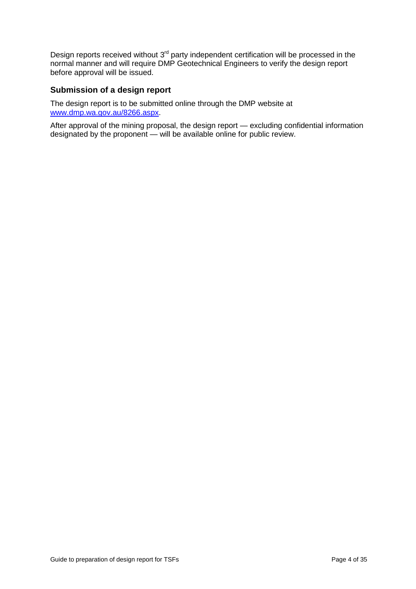Design reports received without  $3<sup>rd</sup>$  party independent certification will be processed in the normal manner and will require DMP Geotechnical Engineers to verify the design report before approval will be issued.

#### **Submission of a design report**

The design report is to be submitted online through the DMP website at [www.dmp.wa.gov.au/8266.aspx.](http://www.dmp.wa.gov.au/8266.aspx)

After approval of the mining proposal, the design report — excluding confidential information designated by the proponent — will be available online for public review.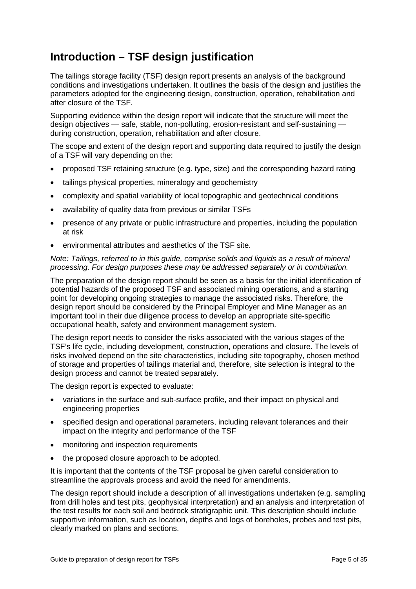## <span id="page-4-0"></span>**Introduction – TSF design justification**

The tailings storage facility (TSF) design report presents an analysis of the background conditions and investigations undertaken. It outlines the basis of the design and justifies the parameters adopted for the engineering design, construction, operation, rehabilitation and after closure of the TSF.

Supporting evidence within the design report will indicate that the structure will meet the design objectives — safe, stable, non-polluting, erosion-resistant and self-sustaining during construction, operation, rehabilitation and after closure.

The scope and extent of the design report and supporting data required to justify the design of a TSF will vary depending on the:

- proposed TSF retaining structure (e.g. type, size) and the corresponding hazard rating
- tailings physical properties, mineralogy and geochemistry
- complexity and spatial variability of local topographic and geotechnical conditions
- availability of quality data from previous or similar TSFs
- presence of any private or public infrastructure and properties, including the population at risk
- environmental attributes and aesthetics of the TSF site.

#### *Note: Tailings, referred to in this guide, comprise solids and liquids as a result of mineral processing. For design purposes these may be addressed separately or in combination.*

The preparation of the design report should be seen as a basis for the initial identification of potential hazards of the proposed TSF and associated mining operations, and a starting point for developing ongoing strategies to manage the associated risks. Therefore, the design report should be considered by the Principal Employer and Mine Manager as an important tool in their due diligence process to develop an appropriate site-specific occupational health, safety and environment management system.

The design report needs to consider the risks associated with the various stages of the TSF's life cycle, including development, construction, operations and closure. The levels of risks involved depend on the site characteristics, including site topography, chosen method of storage and properties of tailings material and, therefore, site selection is integral to the design process and cannot be treated separately.

The design report is expected to evaluate:

- variations in the surface and sub-surface profile, and their impact on physical and engineering properties
- specified design and operational parameters, including relevant tolerances and their impact on the integrity and performance of the TSF
- monitoring and inspection requirements
- the proposed closure approach to be adopted.

It is important that the contents of the TSF proposal be given careful consideration to streamline the approvals process and avoid the need for amendments.

The design report should include a description of all investigations undertaken (e.g. sampling from drill holes and test pits, geophysical interpretation) and an analysis and interpretation of the test results for each soil and bedrock stratigraphic unit. This description should include supportive information, such as location, depths and logs of boreholes, probes and test pits, clearly marked on plans and sections.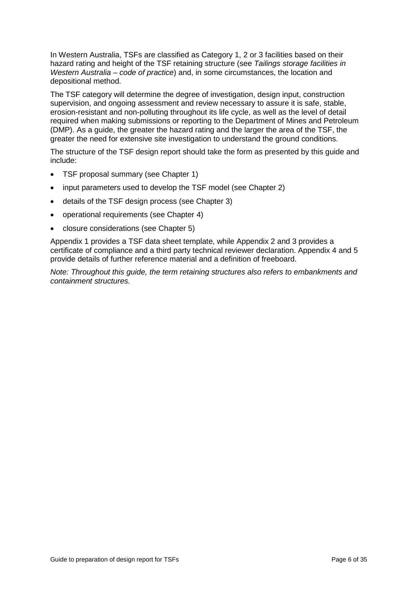In Western Australia, TSFs are classified as Category 1, 2 or 3 facilities based on their hazard rating and height of the TSF retaining structure (see *Tailings storage facilities in Western Australia – code of practice*) and, in some circumstances, the location and depositional method.

The TSF category will determine the degree of investigation, design input, construction supervision, and ongoing assessment and review necessary to assure it is safe, stable, erosion-resistant and non-polluting throughout its life cycle, as well as the level of detail required when making submissions or reporting to the Department of Mines and Petroleum (DMP). As a guide, the greater the hazard rating and the larger the area of the TSF, the greater the need for extensive site investigation to understand the ground conditions.

The structure of the TSF design report should take the form as presented by this guide and include:

- TSF proposal summary (see Chapter 1)
- input parameters used to develop the TSF model (see Chapter 2)
- details of the TSF design process (see Chapter 3)
- operational requirements (see Chapter 4)
- closure considerations (see Chapter 5)

Appendix 1 provides a TSF data sheet template, while Appendix 2 and 3 provides a certificate of compliance and a third party technical reviewer declaration. Appendix 4 and 5 provide details of further reference material and a definition of freeboard.

*Note: Throughout this guide, the term retaining structures also refers to embankments and containment structures.*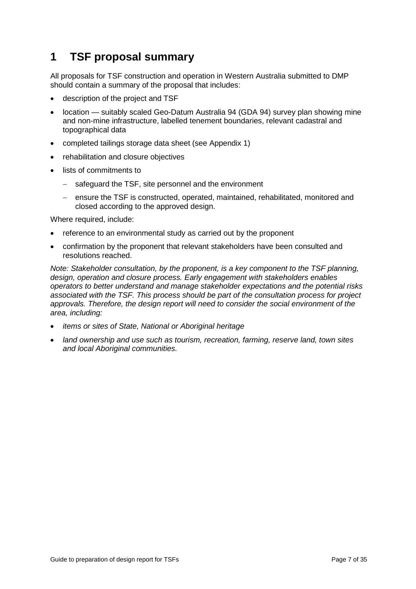## <span id="page-6-0"></span>**1 TSF proposal summary**

All proposals for TSF construction and operation in Western Australia submitted to DMP should contain a summary of the proposal that includes:

- description of the project and TSF
- location suitably scaled Geo-Datum Australia 94 (GDA 94) survey plan showing mine and non-mine infrastructure, labelled tenement boundaries, relevant cadastral and topographical data
- completed tailings storage data sheet (see Appendix 1)
- rehabilitation and closure objectives
- lists of commitments to
	- − safeguard the TSF, site personnel and the environment
	- − ensure the TSF is constructed, operated, maintained, rehabilitated, monitored and closed according to the approved design.

Where required, include:

- reference to an environmental study as carried out by the proponent
- confirmation by the proponent that relevant stakeholders have been consulted and resolutions reached.

*Note: Stakeholder consultation, by the proponent, is a key component to the TSF planning, design, operation and closure process. Early engagement with stakeholders enables operators to better understand and manage stakeholder expectations and the potential risks associated with the TSF. This process should be part of the consultation process for project approvals. Therefore, the design report will need to consider the social environment of the area, including:*

- *items or sites of State, National or Aboriginal heritage*
- *land ownership and use such as tourism, recreation, farming, reserve land, town sites and local Aboriginal communities.*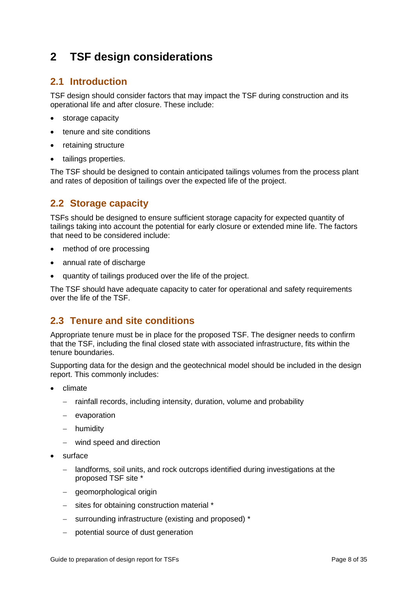## <span id="page-7-0"></span>**2 TSF design considerations**

## <span id="page-7-1"></span>**2.1 Introduction**

TSF design should consider factors that may impact the TSF during construction and its operational life and after closure. These include:

- storage capacity
- tenure and site conditions
- retaining structure
- tailings properties.

The TSF should be designed to contain anticipated tailings volumes from the process plant and rates of deposition of tailings over the expected life of the project.

### <span id="page-7-2"></span>**2.2 Storage capacity**

TSFs should be designed to ensure sufficient storage capacity for expected quantity of tailings taking into account the potential for early closure or extended mine life. The factors that need to be considered include:

- method of ore processing
- annual rate of discharge
- quantity of tailings produced over the life of the project.

The TSF should have adequate capacity to cater for operational and safety requirements over the life of the TSF.

## <span id="page-7-3"></span>**2.3 Tenure and site conditions**

Appropriate tenure must be in place for the proposed TSF. The designer needs to confirm that the TSF, including the final closed state with associated infrastructure, fits within the tenure boundaries.

Supporting data for the design and the geotechnical model should be included in the design report. This commonly includes:

- climate
	- − rainfall records, including intensity, duration, volume and probability
	- − evaporation
	- − humidity
	- − wind speed and direction
- surface
	- − landforms, soil units, and rock outcrops identified during investigations at the proposed TSF site \*
	- − geomorphological origin
	- − sites for obtaining construction material \*
	- − surrounding infrastructure (existing and proposed) \*
	- − potential source of dust generation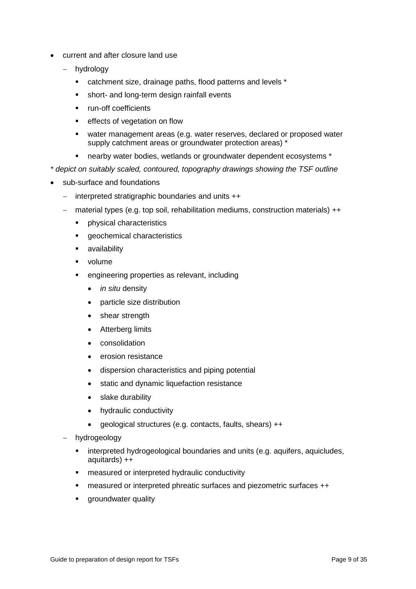- current and after closure land use
	- − hydrology
		- catchment size, drainage paths, flood patterns and levels \*
		- **short- and long-term design rainfall events**
		- **•** run-off coefficients
		- **EXECT** effects of vegetation on flow
		- water management areas (e.g. water reserves, declared or proposed water supply catchment areas or groundwater protection areas) \*
		- nearby water bodies, wetlands or groundwater dependent ecosystems \*

*\* depict on suitably scaled, contoured, topography drawings showing the TSF outline* 

- sub-surface and foundations
	- − interpreted stratigraphic boundaries and units ++
	- − material types (e.g. top soil, rehabilitation mediums, construction materials) ++
		- **•** physical characteristics
		- geochemical characteristics
		- **u** availability
		- volume
		- engineering properties as relevant, including
			- *in situ* density
			- particle size distribution
			- shear strength
			- Atterberg limits
			- consolidation
			- erosion resistance
			- dispersion characteristics and piping potential
			- static and dynamic liquefaction resistance
			- slake durability
			- hydraulic conductivity
			- geological structures (e.g. contacts, faults, shears) ++
	- − hydrogeology
		- interpreted hydrogeological boundaries and units (e.g. aquifers, aquicludes, aquitards) ++
		- **EXECUTE:** measured or interpreted hydraulic conductivity
		- measured or interpreted phreatic surfaces and piezometric surfaces ++
		- **qroundwater quality**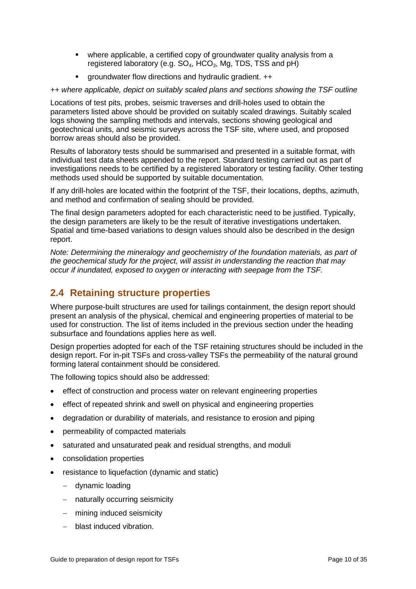- where applicable, a certified copy of groundwater quality analysis from a registered laboratory (e.g.  $SO_4$ ,  $HCO_3$ , Mg, TDS, TSS and pH)
- **EXECT** aroundwater flow directions and hydraulic gradient. ++

*++ where applicable, depict on suitably scaled plans and sections showing the TSF outline* 

Locations of test pits, probes, seismic traverses and drill-holes used to obtain the parameters listed above should be provided on suitably scaled drawings. Suitably scaled logs showing the sampling methods and intervals, sections showing geological and geotechnical units, and seismic surveys across the TSF site, where used, and proposed borrow areas should also be provided.

Results of laboratory tests should be summarised and presented in a suitable format, with individual test data sheets appended to the report. Standard testing carried out as part of investigations needs to be certified by a registered laboratory or testing facility. Other testing methods used should be supported by suitable documentation.

If any drill-holes are located within the footprint of the TSF, their locations, depths, azimuth, and method and confirmation of sealing should be provided.

The final design parameters adopted for each characteristic need to be justified. Typically, the design parameters are likely to be the result of iterative investigations undertaken. Spatial and time-based variations to design values should also be described in the design report.

*Note: Determining the mineralogy and geochemistry of the foundation materials, as part of the geochemical study for the project, will assist in understanding the reaction that may occur if inundated, exposed to oxygen or interacting with seepage from the TSF.*

## <span id="page-9-0"></span>**2.4 Retaining structure properties**

Where purpose-built structures are used for tailings containment, the design report should present an analysis of the physical, chemical and engineering properties of material to be used for construction. The list of items included in the previous section under the heading subsurface and foundations applies here as well.

Design properties adopted for each of the TSF retaining structures should be included in the design report. For in-pit TSFs and cross-valley TSFs the permeability of the natural ground forming lateral containment should be considered.

The following topics should also be addressed:

- effect of construction and process water on relevant engineering properties
- effect of repeated shrink and swell on physical and engineering properties
- degradation or durability of materials, and resistance to erosion and piping
- permeability of compacted materials
- saturated and unsaturated peak and residual strengths, and moduli
- consolidation properties
- resistance to liquefaction (dynamic and static)
	- − dynamic loading
	- − naturally occurring seismicity
	- − mining induced seismicity
	- − blast induced vibration.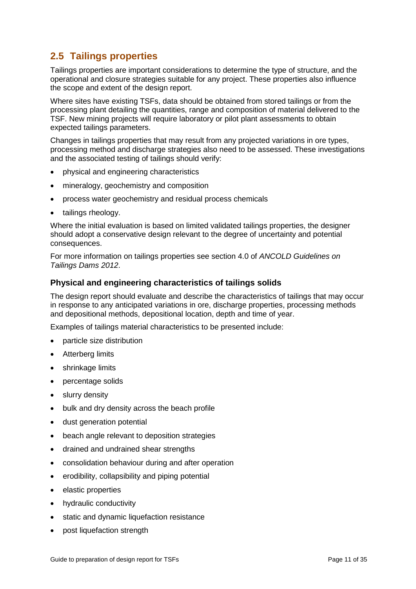## <span id="page-10-0"></span>**2.5 Tailings properties**

Tailings properties are important considerations to determine the type of structure, and the operational and closure strategies suitable for any project. These properties also influence the scope and extent of the design report.

Where sites have existing TSFs, data should be obtained from stored tailings or from the processing plant detailing the quantities, range and composition of material delivered to the TSF. New mining projects will require laboratory or pilot plant assessments to obtain expected tailings parameters.

Changes in tailings properties that may result from any projected variations in ore types, processing method and discharge strategies also need to be assessed. These investigations and the associated testing of tailings should verify:

- physical and engineering characteristics
- mineralogy, geochemistry and composition
- process water geochemistry and residual process chemicals
- tailings rheology.

Where the initial evaluation is based on limited validated tailings properties, the designer should adopt a conservative design relevant to the degree of uncertainty and potential consequences.

For more information on tailings properties see section 4.0 of *ANCOLD Guidelines on Tailings Dams 2012*.

#### **Physical and engineering characteristics of tailings solids**

The design report should evaluate and describe the characteristics of tailings that may occur in response to any anticipated variations in ore, discharge properties, processing methods and depositional methods, depositional location, depth and time of year.

Examples of tailings material characteristics to be presented include:

- particle size distribution
- Atterberg limits
- shrinkage limits
- percentage solids
- slurry density
- bulk and dry density across the beach profile
- dust generation potential
- beach angle relevant to deposition strategies
- drained and undrained shear strengths
- consolidation behaviour during and after operation
- erodibility, collapsibility and piping potential
- elastic properties
- hydraulic conductivity
- static and dynamic liquefaction resistance
- post liquefaction strength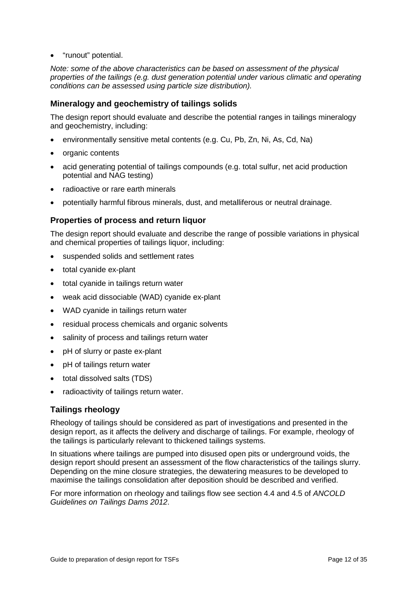• "runout" potential.

*Note: some of the above characteristics can be based on assessment of the physical properties of the tailings (e.g. dust generation potential under various climatic and operating conditions can be assessed using particle size distribution).* 

#### **Mineralogy and geochemistry of tailings solids**

The design report should evaluate and describe the potential ranges in tailings mineralogy and geochemistry, including:

- environmentally sensitive metal contents (e.g. Cu, Pb, Zn, Ni, As, Cd, Na)
- organic contents
- acid generating potential of tailings compounds (e.g. total sulfur, net acid production potential and NAG testing)
- radioactive or rare earth minerals
- potentially harmful fibrous minerals, dust, and metalliferous or neutral drainage.

#### **Properties of process and return liquor**

The design report should evaluate and describe the range of possible variations in physical and chemical properties of tailings liquor, including:

- suspended solids and settlement rates
- total cyanide ex-plant
- total cyanide in tailings return water
- weak acid dissociable (WAD) cyanide ex-plant
- WAD cyanide in tailings return water
- residual process chemicals and organic solvents
- salinity of process and tailings return water
- pH of slurry or paste ex-plant
- pH of tailings return water
- total dissolved salts (TDS)
- radioactivity of tailings return water.

#### **Tailings rheology**

Rheology of tailings should be considered as part of investigations and presented in the design report, as it affects the delivery and discharge of tailings. For example, rheology of the tailings is particularly relevant to thickened tailings systems.

In situations where tailings are pumped into disused open pits or underground voids, the design report should present an assessment of the flow characteristics of the tailings slurry. Depending on the mine closure strategies, the dewatering measures to be developed to maximise the tailings consolidation after deposition should be described and verified.

For more information on rheology and tailings flow see section 4.4 and 4.5 of *ANCOLD Guidelines on Tailings Dams 2012*.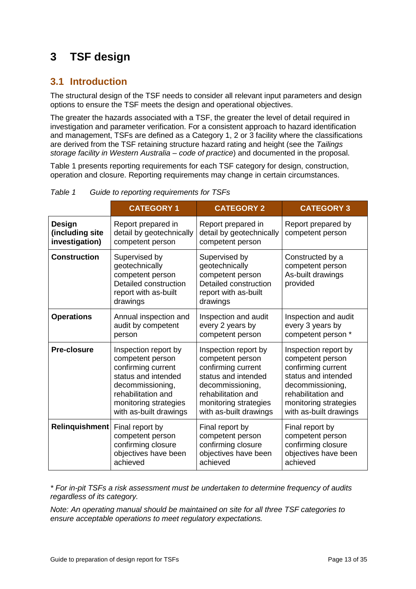# <span id="page-12-0"></span>**3 TSF design**

## <span id="page-12-1"></span>**3.1 Introduction**

The structural design of the TSF needs to consider all relevant input parameters and design options to ensure the TSF meets the design and operational objectives.

The greater the hazards associated with a TSF, the greater the level of detail required in investigation and parameter verification. For a consistent approach to hazard identification and management, TSFs are defined as a Category 1, 2 or 3 facility where the classifications are derived from the TSF retaining structure hazard rating and height (see the *Tailings storage facility in Western Australia – code of practice*) and documented in the proposal.

Table 1 presents reporting requirements for each TSF category for design, construction, operation and closure. Reporting requirements may change in certain circumstances.

|                                             | <b>CATEGORY 1</b>                                                                                                | <b>CATEGORY 2</b>                                                                                                | <b>CATEGORY 3</b>                                                     |
|---------------------------------------------|------------------------------------------------------------------------------------------------------------------|------------------------------------------------------------------------------------------------------------------|-----------------------------------------------------------------------|
| Design<br>(including site<br>investigation) | Report prepared in<br>detail by geotechnically<br>competent person                                               | Report prepared in<br>detail by geotechnically<br>competent person                                               | Report prepared by<br>competent person                                |
| <b>Construction</b>                         | Supervised by<br>geotechnically<br>competent person<br>Detailed construction<br>report with as-built<br>drawings | Supervised by<br>geotechnically<br>competent person<br>Detailed construction<br>report with as-built<br>drawings | Constructed by a<br>competent person<br>As-built drawings<br>provided |
| <b>Operations</b>                           | Annual inspection and                                                                                            | Inspection and audit                                                                                             | Inspection and audit                                                  |
|                                             | audit by competent                                                                                               | every 2 years by                                                                                                 | every 3 years by                                                      |
|                                             | person                                                                                                           | competent person                                                                                                 | competent person *                                                    |
| <b>Pre-closure</b>                          | Inspection report by                                                                                             | Inspection report by                                                                                             | Inspection report by                                                  |
|                                             | competent person                                                                                                 | competent person                                                                                                 | competent person                                                      |
|                                             | confirming current                                                                                               | confirming current                                                                                               | confirming current                                                    |
|                                             | status and intended                                                                                              | status and intended                                                                                              | status and intended                                                   |
|                                             | decommissioning,                                                                                                 | decommissioning,                                                                                                 | decommissioning,                                                      |
|                                             | rehabilitation and                                                                                               | rehabilitation and                                                                                               | rehabilitation and                                                    |
|                                             | monitoring strategies                                                                                            | monitoring strategies                                                                                            | monitoring strategies                                                 |
|                                             | with as-built drawings                                                                                           | with as-built drawings                                                                                           | with as-built drawings                                                |
| Relinquishment                              | Final report by                                                                                                  | Final report by                                                                                                  | Final report by                                                       |
|                                             | competent person                                                                                                 | competent person                                                                                                 | competent person                                                      |
|                                             | confirming closure                                                                                               | confirming closure                                                                                               | confirming closure                                                    |
|                                             | objectives have been                                                                                             | objectives have been                                                                                             | objectives have been                                                  |
|                                             | achieved                                                                                                         | achieved                                                                                                         | achieved                                                              |

*Table 1 Guide to reporting requirements for TSFs* 

*\* For in-pit TSFs a risk assessment must be undertaken to determine frequency of audits regardless of its category.*

*Note: An operating manual should be maintained on site for all three TSF categories to ensure acceptable operations to meet regulatory expectations.*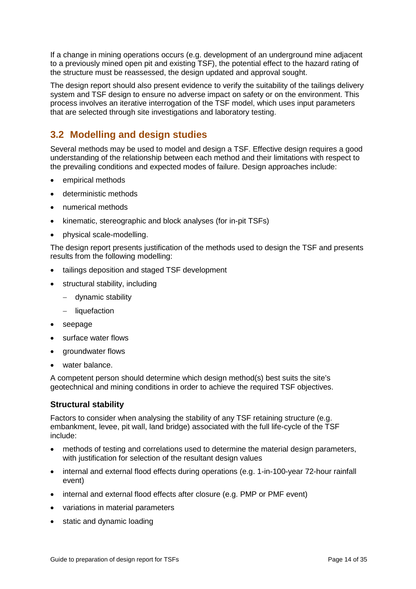If a change in mining operations occurs (e.g. development of an underground mine adjacent to a previously mined open pit and existing TSF), the potential effect to the hazard rating of the structure must be reassessed, the design updated and approval sought.

The design report should also present evidence to verify the suitability of the tailings delivery system and TSF design to ensure no adverse impact on safety or on the environment. This process involves an iterative interrogation of the TSF model, which uses input parameters that are selected through site investigations and laboratory testing.

## <span id="page-13-0"></span>**3.2 Modelling and design studies**

Several methods may be used to model and design a TSF. Effective design requires a good understanding of the relationship between each method and their limitations with respect to the prevailing conditions and expected modes of failure. Design approaches include:

- empirical methods
- deterministic methods
- numerical methods
- kinematic, stereographic and block analyses (for in-pit TSFs)
- physical scale-modelling.

The design report presents justification of the methods used to design the TSF and presents results from the following modelling:

- tailings deposition and staged TSF development
- structural stability, including
	- − dynamic stability
	- − liquefaction
- seepage
- surface water flows
- groundwater flows
- water balance.

A competent person should determine which design method(s) best suits the site's geotechnical and mining conditions in order to achieve the required TSF objectives.

#### **Structural stability**

Factors to consider when analysing the stability of any TSF retaining structure (e.g. embankment, levee, pit wall, land bridge) associated with the full life-cycle of the TSF include:

- methods of testing and correlations used to determine the material design parameters, with justification for selection of the resultant design values
- internal and external flood effects during operations (e.g. 1-in-100-year 72-hour rainfall event)
- internal and external flood effects after closure (e.g. PMP or PMF event)
- variations in material parameters
- static and dynamic loading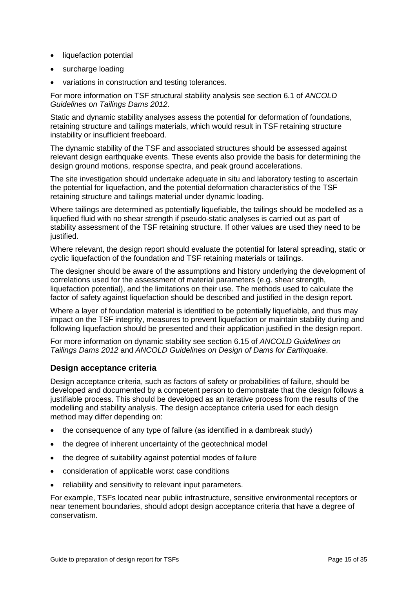- liquefaction potential
- surcharge loading
- variations in construction and testing tolerances.

For more information on TSF structural stability analysis see section 6.1 of *ANCOLD Guidelines on Tailings Dams 2012*.

Static and dynamic stability analyses assess the potential for deformation of foundations, retaining structure and tailings materials, which would result in TSF retaining structure instability or insufficient freeboard.

The dynamic stability of the TSF and associated structures should be assessed against relevant design earthquake events. These events also provide the basis for determining the design ground motions, response spectra, and peak ground accelerations.

The site investigation should undertake adequate in situ and laboratory testing to ascertain the potential for liquefaction, and the potential deformation characteristics of the TSF retaining structure and tailings material under dynamic loading.

Where tailings are determined as potentially liquefiable, the tailings should be modelled as a liquefied fluid with no shear strength if pseudo-static analyses is carried out as part of stability assessment of the TSF retaining structure. If other values are used they need to be justified.

Where relevant, the design report should evaluate the potential for lateral spreading, static or cyclic liquefaction of the foundation and TSF retaining materials or tailings.

The designer should be aware of the assumptions and history underlying the development of correlations used for the assessment of material parameters (e.g. shear strength, liquefaction potential), and the limitations on their use. The methods used to calculate the factor of safety against liquefaction should be described and justified in the design report.

Where a layer of foundation material is identified to be potentially liquefiable, and thus may impact on the TSF integrity, measures to prevent liquefaction or maintain stability during and following liquefaction should be presented and their application justified in the design report.

For more information on dynamic stability see section 6.15 of *ANCOLD Guidelines on Tailings Dams 2012* and *ANCOLD Guidelines on Design of Dams for Earthquake*.

#### **Design acceptance criteria**

Design acceptance criteria, such as factors of safety or probabilities of failure, should be developed and documented by a competent person to demonstrate that the design follows a justifiable process. This should be developed as an iterative process from the results of the modelling and stability analysis. The design acceptance criteria used for each design method may differ depending on:

- the consequence of any type of failure (as identified in a dambreak study)
- the degree of inherent uncertainty of the geotechnical model
- the degree of suitability against potential modes of failure
- consideration of applicable worst case conditions
- reliability and sensitivity to relevant input parameters.

For example, TSFs located near public infrastructure, sensitive environmental receptors or near tenement boundaries, should adopt design acceptance criteria that have a degree of conservatism.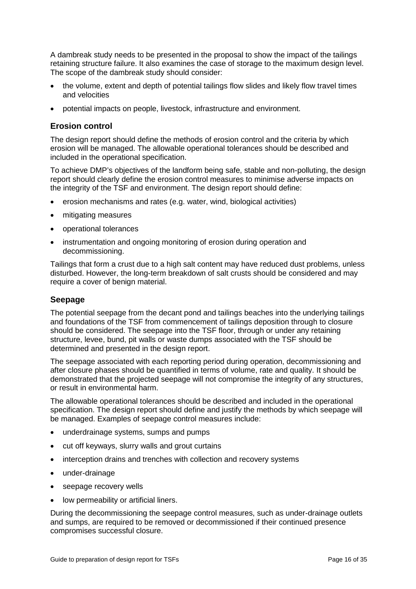A dambreak study needs to be presented in the proposal to show the impact of the tailings retaining structure failure. It also examines the case of storage to the maximum design level. The scope of the dambreak study should consider:

- the volume, extent and depth of potential tailings flow slides and likely flow travel times and velocities
- potential impacts on people, livestock, infrastructure and environment.

#### **Erosion control**

The design report should define the methods of erosion control and the criteria by which erosion will be managed. The allowable operational tolerances should be described and included in the operational specification.

To achieve DMP's objectives of the landform being safe, stable and non-polluting, the design report should clearly define the erosion control measures to minimise adverse impacts on the integrity of the TSF and environment. The design report should define:

- erosion mechanisms and rates (e.g. water, wind, biological activities)
- mitigating measures
- operational tolerances
- instrumentation and ongoing monitoring of erosion during operation and decommissioning.

Tailings that form a crust due to a high salt content may have reduced dust problems, unless disturbed. However, the long-term breakdown of salt crusts should be considered and may require a cover of benign material.

#### **Seepage**

The potential seepage from the decant pond and tailings beaches into the underlying tailings and foundations of the TSF from commencement of tailings deposition through to closure should be considered. The seepage into the TSF floor, through or under any retaining structure, levee, bund, pit walls or waste dumps associated with the TSF should be determined and presented in the design report.

The seepage associated with each reporting period during operation, decommissioning and after closure phases should be quantified in terms of volume, rate and quality. It should be demonstrated that the projected seepage will not compromise the integrity of any structures, or result in environmental harm.

The allowable operational tolerances should be described and included in the operational specification. The design report should define and justify the methods by which seepage will be managed. Examples of seepage control measures include:

- underdrainage systems, sumps and pumps
- cut off keyways, slurry walls and grout curtains
- interception drains and trenches with collection and recovery systems
- under-drainage
- seepage recovery wells
- low permeability or artificial liners.

During the decommissioning the seepage control measures, such as under-drainage outlets and sumps, are required to be removed or decommissioned if their continued presence compromises successful closure.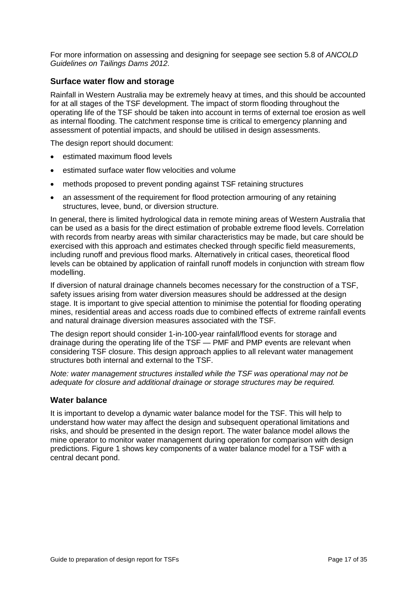For more information on assessing and designing for seepage see section 5.8 of *ANCOLD Guidelines on Tailings Dams 2012*.

#### **Surface water flow and storage**

Rainfall in Western Australia may be extremely heavy at times, and this should be accounted for at all stages of the TSF development. The impact of storm flooding throughout the operating life of the TSF should be taken into account in terms of external toe erosion as well as internal flooding. The catchment response time is critical to emergency planning and assessment of potential impacts, and should be utilised in design assessments.

The design report should document:

- estimated maximum flood levels
- estimated surface water flow velocities and volume
- methods proposed to prevent ponding against TSF retaining structures
- an assessment of the requirement for flood protection armouring of any retaining structures, levee, bund, or diversion structure.

In general, there is limited hydrological data in remote mining areas of Western Australia that can be used as a basis for the direct estimation of probable extreme flood levels. Correlation with records from nearby areas with similar characteristics may be made, but care should be exercised with this approach and estimates checked through specific field measurements, including runoff and previous flood marks. Alternatively in critical cases, theoretical flood levels can be obtained by application of rainfall runoff models in conjunction with stream flow modelling.

If diversion of natural drainage channels becomes necessary for the construction of a TSF, safety issues arising from water diversion measures should be addressed at the design stage. It is important to give special attention to minimise the potential for flooding operating mines, residential areas and access roads due to combined effects of extreme rainfall events and natural drainage diversion measures associated with the TSF.

The design report should consider 1-in-100-year rainfall/flood events for storage and drainage during the operating life of the TSF — PMF and PMP events are relevant when considering TSF closure. This design approach applies to all relevant water management structures both internal and external to the TSF.

*Note: water management structures installed while the TSF was operational may not be adequate for closure and additional drainage or storage structures may be required.*

#### **Water balance**

It is important to develop a dynamic water balance model for the TSF. This will help to understand how water may affect the design and subsequent operational limitations and risks, and should be presented in the design report. The water balance model allows the mine operator to monitor water management during operation for comparison with design predictions. Figure 1 shows key components of a water balance model for a TSF with a central decant pond.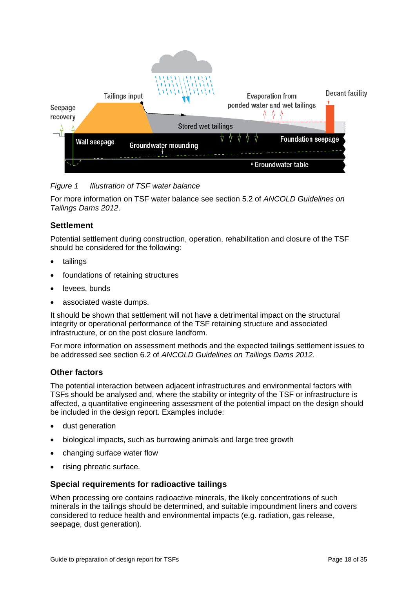

*Figure 1 Illustration of TSF water balance* 

For more information on TSF water balance see section 5.2 of *ANCOLD Guidelines on Tailings Dams 2012*.

#### **Settlement**

Potential settlement during construction, operation, rehabilitation and closure of the TSF should be considered for the following:

- tailings
- foundations of retaining structures
- levees, bunds
- associated waste dumps.

It should be shown that settlement will not have a detrimental impact on the structural integrity or operational performance of the TSF retaining structure and associated infrastructure, or on the post closure landform.

For more information on assessment methods and the expected tailings settlement issues to be addressed see section 6.2 of *ANCOLD Guidelines on Tailings Dams 2012*.

#### **Other factors**

The potential interaction between adjacent infrastructures and environmental factors with TSFs should be analysed and, where the stability or integrity of the TSF or infrastructure is affected, a quantitative engineering assessment of the potential impact on the design should be included in the design report. Examples include:

- dust generation
- biological impacts, such as burrowing animals and large tree growth
- changing surface water flow
- rising phreatic surface.

#### **Special requirements for radioactive tailings**

When processing ore contains radioactive minerals, the likely concentrations of such minerals in the tailings should be determined, and suitable impoundment liners and covers considered to reduce health and environmental impacts (e.g. radiation, gas release, seepage, dust generation).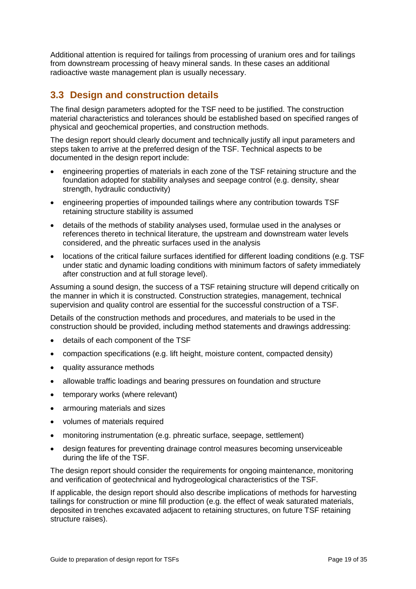Additional attention is required for tailings from processing of uranium ores and for tailings from downstream processing of heavy mineral sands. In these cases an additional radioactive waste management plan is usually necessary.

### <span id="page-18-0"></span>**3.3 Design and construction details**

The final design parameters adopted for the TSF need to be justified. The construction material characteristics and tolerances should be established based on specified ranges of physical and geochemical properties, and construction methods.

The design report should clearly document and technically justify all input parameters and steps taken to arrive at the preferred design of the TSF. Technical aspects to be documented in the design report include:

- engineering properties of materials in each zone of the TSF retaining structure and the foundation adopted for stability analyses and seepage control (e.g. density, shear strength, hydraulic conductivity)
- engineering properties of impounded tailings where any contribution towards TSF retaining structure stability is assumed
- details of the methods of stability analyses used, formulae used in the analyses or references thereto in technical literature, the upstream and downstream water levels considered, and the phreatic surfaces used in the analysis
- locations of the critical failure surfaces identified for different loading conditions (e.g. TSF under static and dynamic loading conditions with minimum factors of safety immediately after construction and at full storage level).

Assuming a sound design, the success of a TSF retaining structure will depend critically on the manner in which it is constructed. Construction strategies, management, technical supervision and quality control are essential for the successful construction of a TSF.

Details of the construction methods and procedures, and materials to be used in the construction should be provided, including method statements and drawings addressing:

- details of each component of the TSF
- compaction specifications (e.g. lift height, moisture content, compacted density)
- quality assurance methods
- allowable traffic loadings and bearing pressures on foundation and structure
- temporary works (where relevant)
- armouring materials and sizes
- volumes of materials required
- monitoring instrumentation (e.g. phreatic surface, seepage, settlement)
- design features for preventing drainage control measures becoming unserviceable during the life of the TSF.

The design report should consider the requirements for ongoing maintenance, monitoring and verification of geotechnical and hydrogeological characteristics of the TSF.

If applicable, the design report should also describe implications of methods for harvesting tailings for construction or mine fill production (e.g. the effect of weak saturated materials, deposited in trenches excavated adjacent to retaining structures, on future TSF retaining structure raises).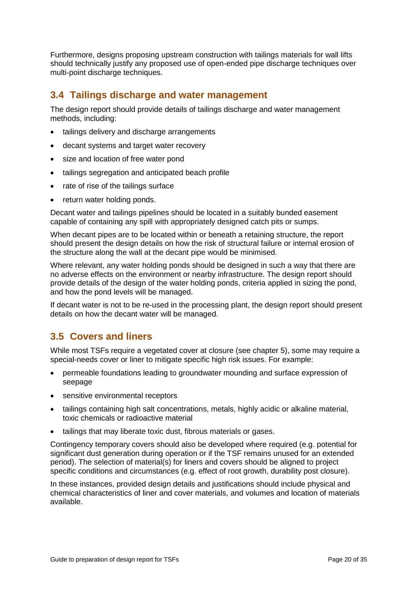Furthermore, designs proposing upstream construction with tailings materials for wall lifts should technically justify any proposed use of open-ended pipe discharge techniques over multi-point discharge techniques.

### <span id="page-19-0"></span>**3.4 Tailings discharge and water management**

The design report should provide details of tailings discharge and water management methods, including:

- tailings delivery and discharge arrangements
- decant systems and target water recovery
- size and location of free water pond
- tailings segregation and anticipated beach profile
- rate of rise of the tailings surface
- return water holding ponds.

Decant water and tailings pipelines should be located in a suitably bunded easement capable of containing any spill with appropriately designed catch pits or sumps.

When decant pipes are to be located within or beneath a retaining structure, the report should present the design details on how the risk of structural failure or internal erosion of the structure along the wall at the decant pipe would be minimised.

Where relevant, any water holding ponds should be designed in such a way that there are no adverse effects on the environment or nearby infrastructure. The design report should provide details of the design of the water holding ponds, criteria applied in sizing the pond, and how the pond levels will be managed.

If decant water is not to be re-used in the processing plant, the design report should present details on how the decant water will be managed.

### <span id="page-19-1"></span>**3.5 Covers and liners**

While most TSFs require a vegetated cover at closure (see chapter 5), some may require a special-needs cover or liner to mitigate specific high risk issues. For example:

- permeable foundations leading to groundwater mounding and surface expression of seepage
- sensitive environmental receptors
- tailings containing high salt concentrations, metals, highly acidic or alkaline material, toxic chemicals or radioactive material
- tailings that may liberate toxic dust, fibrous materials or gases.

Contingency temporary covers should also be developed where required (e.g. potential for significant dust generation during operation or if the TSF remains unused for an extended period). The selection of material(s) for liners and covers should be aligned to project specific conditions and circumstances (e.g. effect of root growth, durability post closure).

In these instances, provided design details and justifications should include physical and chemical characteristics of liner and cover materials, and volumes and location of materials available.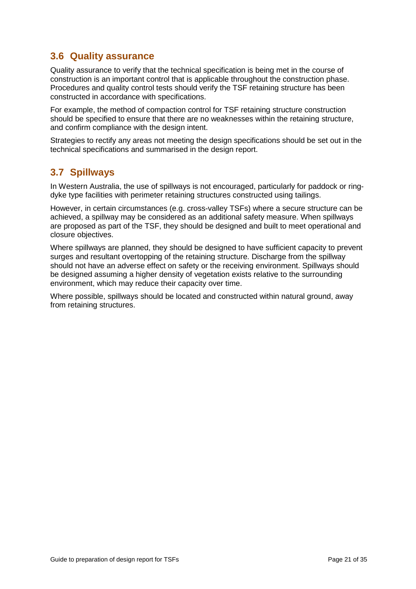## <span id="page-20-0"></span>**3.6 Quality assurance**

Quality assurance to verify that the technical specification is being met in the course of construction is an important control that is applicable throughout the construction phase. Procedures and quality control tests should verify the TSF retaining structure has been constructed in accordance with specifications.

For example, the method of compaction control for TSF retaining structure construction should be specified to ensure that there are no weaknesses within the retaining structure, and confirm compliance with the design intent.

Strategies to rectify any areas not meeting the design specifications should be set out in the technical specifications and summarised in the design report.

### <span id="page-20-1"></span>**3.7 Spillways**

In Western Australia, the use of spillways is not encouraged, particularly for paddock or ringdyke type facilities with perimeter retaining structures constructed using tailings.

However, in certain circumstances (e.g. cross-valley TSFs) where a secure structure can be achieved, a spillway may be considered as an additional safety measure. When spillways are proposed as part of the TSF, they should be designed and built to meet operational and closure objectives.

Where spillways are planned, they should be designed to have sufficient capacity to prevent surges and resultant overtopping of the retaining structure. Discharge from the spillway should not have an adverse effect on safety or the receiving environment. Spillways should be designed assuming a higher density of vegetation exists relative to the surrounding environment, which may reduce their capacity over time.

Where possible, spillways should be located and constructed within natural ground, away from retaining structures.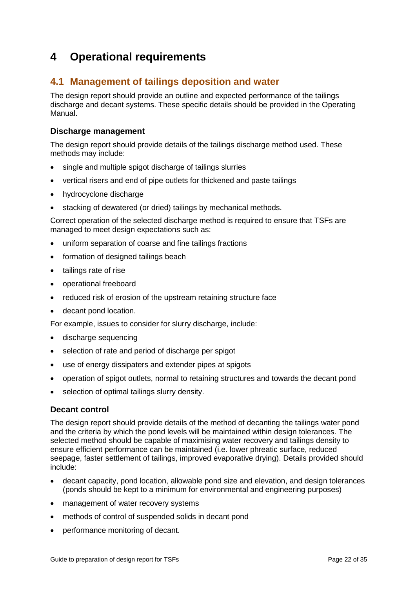## <span id="page-21-0"></span>**4 Operational requirements**

## <span id="page-21-1"></span>**4.1 Management of tailings deposition and water**

The design report should provide an outline and expected performance of the tailings discharge and decant systems. These specific details should be provided in the Operating Manual.

### **Discharge management**

The design report should provide details of the tailings discharge method used. These methods may include:

- single and multiple spigot discharge of tailings slurries
- vertical risers and end of pipe outlets for thickened and paste tailings
- hydrocyclone discharge
- stacking of dewatered (or dried) tailings by mechanical methods.

Correct operation of the selected discharge method is required to ensure that TSFs are managed to meet design expectations such as:

- uniform separation of coarse and fine tailings fractions
- formation of designed tailings beach
- tailings rate of rise
- operational freeboard
- reduced risk of erosion of the upstream retaining structure face
- decant pond location.

For example, issues to consider for slurry discharge, include:

- discharge sequencing
- selection of rate and period of discharge per spigot
- use of energy dissipaters and extender pipes at spigots
- operation of spigot outlets, normal to retaining structures and towards the decant pond
- selection of optimal tailings slurry density.

#### **Decant control**

The design report should provide details of the method of decanting the tailings water pond and the criteria by which the pond levels will be maintained within design tolerances. The selected method should be capable of maximising water recovery and tailings density to ensure efficient performance can be maintained (i.e. lower phreatic surface, reduced seepage, faster settlement of tailings, improved evaporative drying). Details provided should include:

- decant capacity, pond location, allowable pond size and elevation, and design tolerances (ponds should be kept to a minimum for environmental and engineering purposes)
- management of water recovery systems
- methods of control of suspended solids in decant pond
- performance monitoring of decant.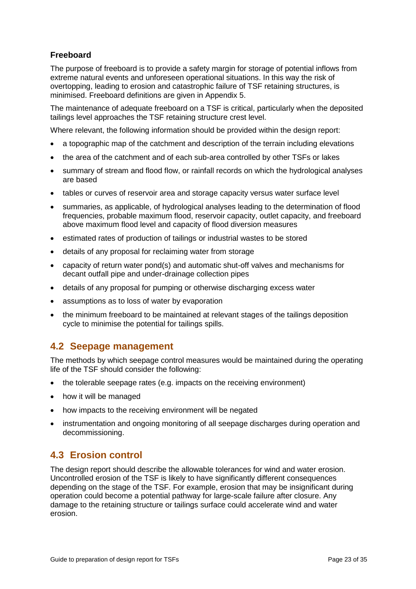### **Freeboard**

The purpose of freeboard is to provide a safety margin for storage of potential inflows from extreme natural events and unforeseen operational situations. In this way the risk of overtopping, leading to erosion and catastrophic failure of TSF retaining structures, is minimised. Freeboard definitions are given in Appendix 5.

The maintenance of adequate freeboard on a TSF is critical, particularly when the deposited tailings level approaches the TSF retaining structure crest level.

Where relevant, the following information should be provided within the design report:

- a topographic map of the catchment and description of the terrain including elevations
- the area of the catchment and of each sub-area controlled by other TSFs or lakes
- summary of stream and flood flow, or rainfall records on which the hydrological analyses are based
- tables or curves of reservoir area and storage capacity versus water surface level
- summaries, as applicable, of hydrological analyses leading to the determination of flood frequencies, probable maximum flood, reservoir capacity, outlet capacity, and freeboard above maximum flood level and capacity of flood diversion measures
- estimated rates of production of tailings or industrial wastes to be stored
- details of any proposal for reclaiming water from storage
- capacity of return water pond(s) and automatic shut-off valves and mechanisms for decant outfall pipe and under-drainage collection pipes
- details of any proposal for pumping or otherwise discharging excess water
- assumptions as to loss of water by evaporation
- the minimum freeboard to be maintained at relevant stages of the tailings deposition cycle to minimise the potential for tailings spills.

### <span id="page-22-0"></span>**4.2 Seepage management**

The methods by which seepage control measures would be maintained during the operating life of the TSF should consider the following:

- the tolerable seepage rates (e.g. impacts on the receiving environment)
- how it will be managed
- how impacts to the receiving environment will be negated
- instrumentation and ongoing monitoring of all seepage discharges during operation and decommissioning.

## <span id="page-22-1"></span>**4.3 Erosion control**

The design report should describe the allowable tolerances for wind and water erosion. Uncontrolled erosion of the TSF is likely to have significantly different consequences depending on the stage of the TSF. For example, erosion that may be insignificant during operation could become a potential pathway for large-scale failure after closure. Any damage to the retaining structure or tailings surface could accelerate wind and water erosion.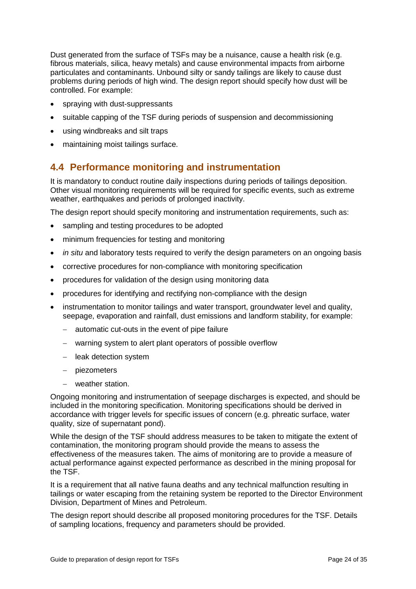Dust generated from the surface of TSFs may be a nuisance, cause a health risk (e.g. fibrous materials, silica, heavy metals) and cause environmental impacts from airborne particulates and contaminants. Unbound silty or sandy tailings are likely to cause dust problems during periods of high wind. The design report should specify how dust will be controlled. For example:

- spraying with dust-suppressants
- suitable capping of the TSF during periods of suspension and decommissioning
- using windbreaks and silt traps
- maintaining moist tailings surface.

### <span id="page-23-0"></span>**4.4 Performance monitoring and instrumentation**

It is mandatory to conduct routine daily inspections during periods of tailings deposition. Other visual monitoring requirements will be required for specific events, such as extreme weather, earthquakes and periods of prolonged inactivity.

The design report should specify monitoring and instrumentation requirements, such as:

- sampling and testing procedures to be adopted
- minimum frequencies for testing and monitoring
- *in situ* and laboratory tests required to verify the design parameters on an ongoing basis
- corrective procedures for non-compliance with monitoring specification
- procedures for validation of the design using monitoring data
- procedures for identifying and rectifying non-compliance with the design
- instrumentation to monitor tailings and water transport, groundwater level and quality, seepage, evaporation and rainfall, dust emissions and landform stability, for example:
	- automatic cut-outs in the event of pipe failure
	- − warning system to alert plant operators of possible overflow
	- − leak detection system
	- − piezometers
	- − weather station.

Ongoing monitoring and instrumentation of seepage discharges is expected, and should be included in the monitoring specification. Monitoring specifications should be derived in accordance with trigger levels for specific issues of concern (e.g. phreatic surface, water quality, size of supernatant pond).

While the design of the TSF should address measures to be taken to mitigate the extent of contamination, the monitoring program should provide the means to assess the effectiveness of the measures taken. The aims of monitoring are to provide a measure of actual performance against expected performance as described in the mining proposal for the TSF.

It is a requirement that all native fauna deaths and any technical malfunction resulting in tailings or water escaping from the retaining system be reported to the Director Environment Division, Department of Mines and Petroleum.

The design report should describe all proposed monitoring procedures for the TSF. Details of sampling locations, frequency and parameters should be provided.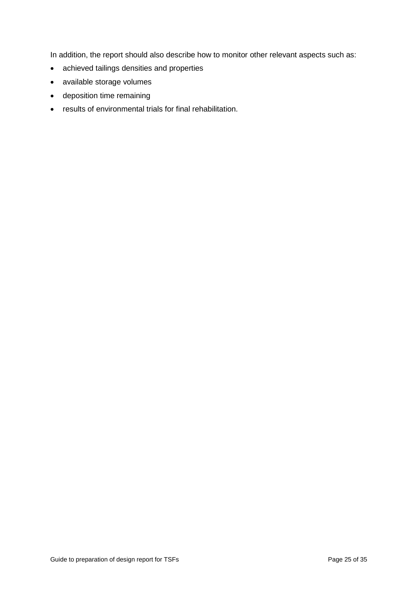In addition, the report should also describe how to monitor other relevant aspects such as:

- achieved tailings densities and properties
- available storage volumes
- deposition time remaining
- results of environmental trials for final rehabilitation.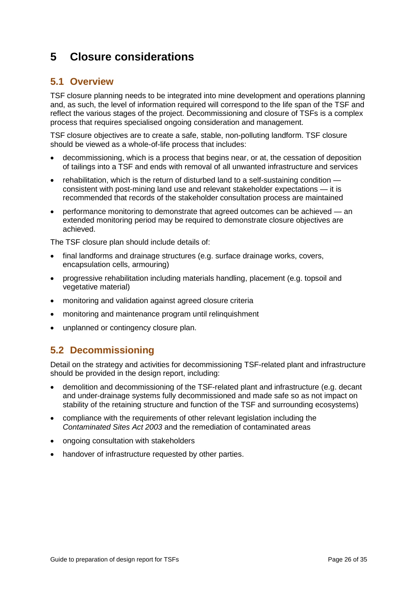## <span id="page-25-0"></span>**5 Closure considerations**

## <span id="page-25-1"></span>**5.1 Overview**

TSF closure planning needs to be integrated into mine development and operations planning and, as such, the level of information required will correspond to the life span of the TSF and reflect the various stages of the project. Decommissioning and closure of TSFs is a complex process that requires specialised ongoing consideration and management.

TSF closure objectives are to create a safe, stable, non-polluting landform. TSF closure should be viewed as a whole-of-life process that includes:

- decommissioning, which is a process that begins near, or at, the cessation of deposition of tailings into a TSF and ends with removal of all unwanted infrastructure and services
- rehabilitation, which is the return of disturbed land to a self-sustaining condition consistent with post-mining land use and relevant stakeholder expectations — it is recommended that records of the stakeholder consultation process are maintained
- performance monitoring to demonstrate that agreed outcomes can be achieved an extended monitoring period may be required to demonstrate closure objectives are achieved.

The TSF closure plan should include details of:

- final landforms and drainage structures (e.g. surface drainage works, covers, encapsulation cells, armouring)
- progressive rehabilitation including materials handling, placement (e.g. topsoil and vegetative material)
- monitoring and validation against agreed closure criteria
- monitoring and maintenance program until relinquishment
- unplanned or contingency closure plan.

## <span id="page-25-2"></span>**5.2 Decommissioning**

Detail on the strategy and activities for decommissioning TSF-related plant and infrastructure should be provided in the design report, including:

- demolition and decommissioning of the TSF-related plant and infrastructure (e.g. decant and under-drainage systems fully decommissioned and made safe so as not impact on stability of the retaining structure and function of the TSF and surrounding ecosystems)
- compliance with the requirements of other relevant legislation including the *Contaminated Sites Act 2003* and the remediation of contaminated areas
- ongoing consultation with stakeholders
- handover of infrastructure requested by other parties.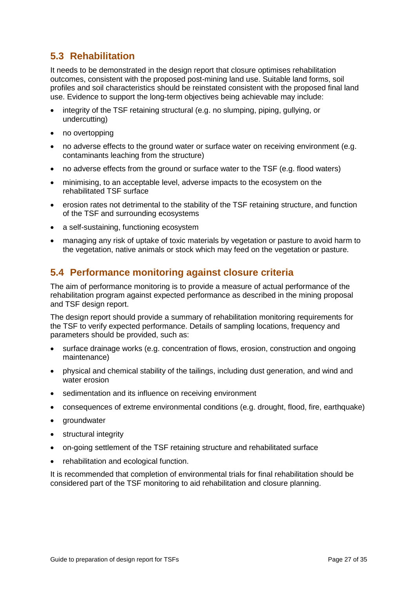## <span id="page-26-0"></span>**5.3 Rehabilitation**

It needs to be demonstrated in the design report that closure optimises rehabilitation outcomes, consistent with the proposed post-mining land use. Suitable land forms, soil profiles and soil characteristics should be reinstated consistent with the proposed final land use. Evidence to support the long-term objectives being achievable may include:

- integrity of the TSF retaining structural (e.g. no slumping, piping, gullying, or undercutting)
- no overtopping
- no adverse effects to the ground water or surface water on receiving environment (e.g. contaminants leaching from the structure)
- no adverse effects from the ground or surface water to the TSF (e.g. flood waters)
- minimising, to an acceptable level, adverse impacts to the ecosystem on the rehabilitated TSF surface
- erosion rates not detrimental to the stability of the TSF retaining structure, and function of the TSF and surrounding ecosystems
- a self-sustaining, functioning ecosystem
- managing any risk of uptake of toxic materials by vegetation or pasture to avoid harm to the vegetation, native animals or stock which may feed on the vegetation or pasture.

## <span id="page-26-1"></span>**5.4 Performance monitoring against closure criteria**

The aim of performance monitoring is to provide a measure of actual performance of the rehabilitation program against expected performance as described in the mining proposal and TSF design report.

The design report should provide a summary of rehabilitation monitoring requirements for the TSF to verify expected performance. Details of sampling locations, frequency and parameters should be provided, such as:

- surface drainage works (e.g. concentration of flows, erosion, construction and ongoing maintenance)
- physical and chemical stability of the tailings, including dust generation, and wind and water erosion
- sedimentation and its influence on receiving environment
- consequences of extreme environmental conditions (e.g. drought, flood, fire, earthquake)
- groundwater
- structural integrity
- on-going settlement of the TSF retaining structure and rehabilitated surface
- rehabilitation and ecological function.

It is recommended that completion of environmental trials for final rehabilitation should be considered part of the TSF monitoring to aid rehabilitation and closure planning.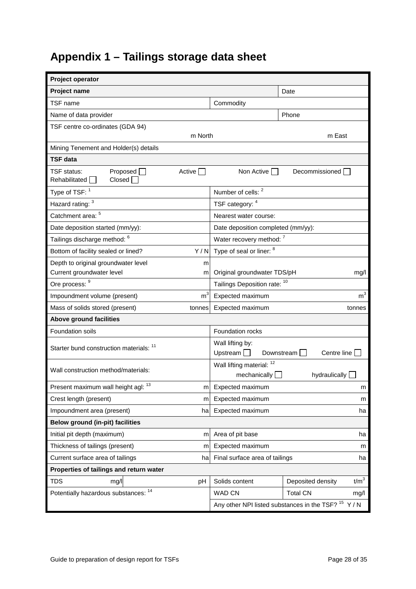# <span id="page-27-0"></span>**Appendix 1 – Tailings storage data sheet**

| Project operator                                            |                |                                                                  |                                                                 |
|-------------------------------------------------------------|----------------|------------------------------------------------------------------|-----------------------------------------------------------------|
| <b>Project name</b>                                         |                |                                                                  | Date                                                            |
| TSF name                                                    |                | Commodity                                                        |                                                                 |
| Name of data provider                                       |                |                                                                  | Phone                                                           |
| TSF centre co-ordinates (GDA 94)                            |                |                                                                  |                                                                 |
|                                                             | m North        |                                                                  | m East                                                          |
| Mining Tenement and Holder(s) details                       |                |                                                                  |                                                                 |
| <b>TSF data</b>                                             |                |                                                                  |                                                                 |
| Proposed $\Box$<br>TSF status:<br>Closed  <br>Rehabilitated | Active         | Non Active                                                       | Decommissioned                                                  |
| Type of TSF: 1                                              |                | Number of cells: 2                                               |                                                                 |
| Hazard rating: 3                                            |                | TSF category: 4                                                  |                                                                 |
| Catchment area: 5                                           |                | Nearest water course:                                            |                                                                 |
| Date deposition started (mm/yy):                            |                | Date deposition completed (mm/yy):                               |                                                                 |
| Tailings discharge method: <sup>6</sup>                     |                | Water recovery method: 7                                         |                                                                 |
| Bottom of facility sealed or lined?                         | Y/N            | Type of seal or liner: 8                                         |                                                                 |
| Depth to original groundwater level                         | m              |                                                                  |                                                                 |
| Current groundwater level                                   | m              | Original groundwater TDS/pH                                      | mg/l                                                            |
| Ore process:                                                |                | Tailings Deposition rate: 10                                     |                                                                 |
| Impoundment volume (present)                                | m <sup>3</sup> | Expected maximum                                                 | m <sup>3</sup>                                                  |
| Mass of solids stored (present)                             | tonnes         | Expected maximum                                                 | tonnes                                                          |
| Above ground facilities                                     |                |                                                                  |                                                                 |
| Foundation soils                                            |                | Foundation rocks                                                 |                                                                 |
| Starter bund construction materials: 11                     |                | Wall lifting by:<br>Upstream $\Box$<br>Downstream<br>Centre line |                                                                 |
| Wall construction method/materials:                         |                | Wall lifting material: 12<br>mechanically                        | hydraulically                                                   |
| Present maximum wall height agl: 13                         | m              | Expected maximum                                                 | m                                                               |
| Crest length (present)                                      | m              | Expected maximum                                                 | m                                                               |
| Impoundment area (present)                                  | ha             | Expected maximum                                                 | ha                                                              |
| Below ground (in-pit) facilities                            |                |                                                                  |                                                                 |
| Initial pit depth (maximum)                                 | m              | Area of pit base                                                 | ha                                                              |
| Thickness of tailings (present)                             | m              | Expected maximum<br>m                                            |                                                                 |
| Current surface area of tailings                            | ha             | Final surface area of tailings<br>ha                             |                                                                 |
| Properties of tailings and return water                     |                |                                                                  |                                                                 |
| <b>TDS</b><br>mg/l                                          | pH             | Solids content                                                   | t/m <sup>3</sup><br>Deposited density                           |
| Potentially hazardous substances: 14                        |                | WAD CN                                                           | <b>Total CN</b><br>mg/l                                         |
|                                                             |                |                                                                  | Any other NPI listed substances in the TSF? <sup>15</sup> Y / N |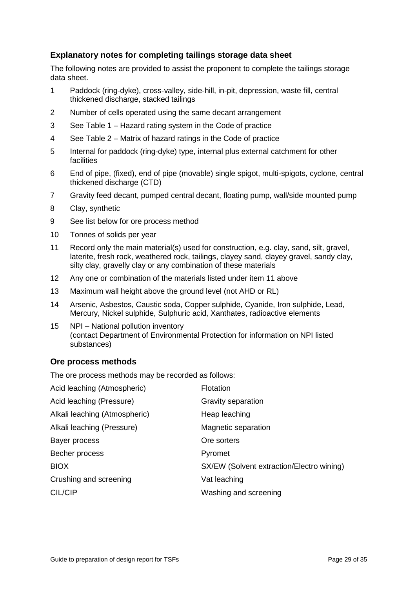### **Explanatory notes for completing tailings storage data sheet**

The following notes are provided to assist the proponent to complete the tailings storage data sheet.

- 1 Paddock (ring-dyke), cross-valley, side-hill, in-pit, depression, waste fill, central thickened discharge, stacked tailings
- 2 Number of cells operated using the same decant arrangement
- 3 See Table 1 Hazard rating system in the Code of practice
- 4 See Table 2 Matrix of hazard ratings in the Code of practice
- 5 Internal for paddock (ring-dyke) type, internal plus external catchment for other facilities
- 6 End of pipe, (fixed), end of pipe (movable) single spigot, multi-spigots, cyclone, central thickened discharge (CTD)
- 7 Gravity feed decant, pumped central decant, floating pump, wall/side mounted pump
- 8 Clay, synthetic
- 9 See list below for ore process method
- 10 Tonnes of solids per year
- 11 Record only the main material(s) used for construction, e.g. clay, sand, silt, gravel, laterite, fresh rock, weathered rock, tailings, clayey sand, clayey gravel, sandy clay, silty clay, gravelly clay or any combination of these materials
- 12 Any one or combination of the materials listed under item 11 above
- 13 Maximum wall height above the ground level (not AHD or RL)
- 14 Arsenic, Asbestos, Caustic soda, Copper sulphide, Cyanide, Iron sulphide, Lead, Mercury, Nickel sulphide, Sulphuric acid, Xanthates, radioactive elements
- 15 NPI National pollution inventory (contact Department of Environmental Protection for information on NPI listed substances)

#### **Ore process methods**

The ore process methods may be recorded as follows:

| Acid leaching (Atmospheric)   | Flotation                                 |
|-------------------------------|-------------------------------------------|
| Acid leaching (Pressure)      | Gravity separation                        |
| Alkali leaching (Atmospheric) | Heap leaching                             |
| Alkali leaching (Pressure)    | Magnetic separation                       |
| Bayer process                 | Ore sorters                               |
| Becher process                | Pyromet                                   |
| <b>BIOX</b>                   | SX/EW (Solvent extraction/Electro wining) |
| Crushing and screening        | Vat leaching                              |
| CIL/CIP                       | Washing and screening                     |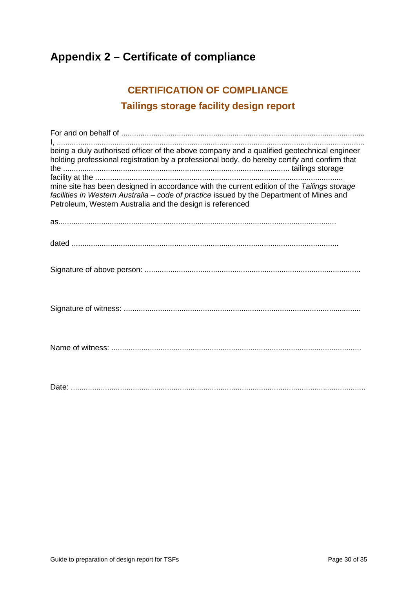## <span id="page-29-0"></span>**Appendix 2 – Certificate of compliance**

## **CERTIFICATION OF COMPLIANCE Tailings storage facility design report**

| being a duly authorised officer of the above company and a qualified geotechnical engineer<br>holding professional registration by a professional body, do hereby certify and confirm that                                                          |
|-----------------------------------------------------------------------------------------------------------------------------------------------------------------------------------------------------------------------------------------------------|
| mine site has been designed in accordance with the current edition of the Tailings storage<br>facilities in Western Australia - code of practice issued by the Department of Mines and<br>Petroleum, Western Australia and the design is referenced |
|                                                                                                                                                                                                                                                     |
|                                                                                                                                                                                                                                                     |
|                                                                                                                                                                                                                                                     |
|                                                                                                                                                                                                                                                     |
|                                                                                                                                                                                                                                                     |
|                                                                                                                                                                                                                                                     |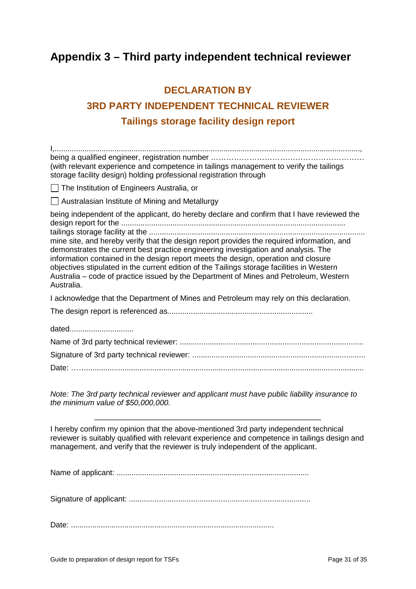## <span id="page-30-0"></span>**Appendix 3 – Third party independent technical reviewer**

# **DECLARATION BY 3RD PARTY INDEPENDENT TECHNICAL REVIEWER Tailings storage facility design report**

| (with relevant experience and competence in tailings management to verify the tailings<br>storage facility design) holding professional registration through                                                                                                                                                                                                                                                                                                                |
|-----------------------------------------------------------------------------------------------------------------------------------------------------------------------------------------------------------------------------------------------------------------------------------------------------------------------------------------------------------------------------------------------------------------------------------------------------------------------------|
| □ The Institution of Engineers Australia, or                                                                                                                                                                                                                                                                                                                                                                                                                                |
| Australasian Institute of Mining and Metallurgy                                                                                                                                                                                                                                                                                                                                                                                                                             |
| being independent of the applicant, do hereby declare and confirm that I have reviewed the                                                                                                                                                                                                                                                                                                                                                                                  |
| mine site, and hereby verify that the design report provides the required information, and<br>demonstrates the current best practice engineering investigation and analysis. The<br>information contained in the design report meets the design, operation and closure<br>objectives stipulated in the current edition of the Tailings storage facilities in Western<br>Australia – code of practice issued by the Department of Mines and Petroleum, Western<br>Australia. |
| I acknowledge that the Department of Mines and Petroleum may rely on this declaration.                                                                                                                                                                                                                                                                                                                                                                                      |
|                                                                                                                                                                                                                                                                                                                                                                                                                                                                             |
| dated                                                                                                                                                                                                                                                                                                                                                                                                                                                                       |
|                                                                                                                                                                                                                                                                                                                                                                                                                                                                             |
|                                                                                                                                                                                                                                                                                                                                                                                                                                                                             |
|                                                                                                                                                                                                                                                                                                                                                                                                                                                                             |
|                                                                                                                                                                                                                                                                                                                                                                                                                                                                             |

*Note: The 3rd party technical reviewer and applicant must have public liability insurance to the minimum value of \$50,000,000.*

I hereby confirm my opinion that the above-mentioned 3rd party independent technical reviewer is suitably qualified with relevant experience and competence in tailings design and management, and verify that the reviewer is truly independent of the applicant.

\_\_\_\_\_\_\_\_\_\_\_\_\_\_\_\_\_\_\_\_\_\_\_\_\_\_\_\_\_\_\_\_\_\_\_\_\_\_\_\_\_\_\_\_\_\_\_\_\_\_\_\_\_

Name of applicant: ..........................................................................................

Signature of applicant: .....................................................................................

Date: ...............................................................................................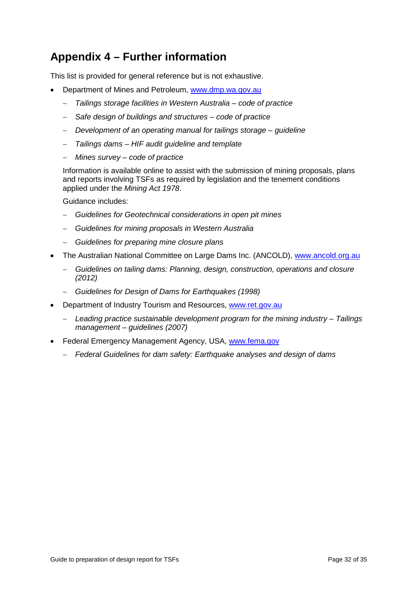## <span id="page-31-0"></span>**Appendix 4 – Further information**

This list is provided for general reference but is not exhaustive.

- Department of Mines and Petroleum, [www.dmp.wa.gov.au](http://www.dmp.wa.gov.au/) 
	- − *Tailings storage facilities in Western Australia code of practice*
	- − *Safe design of buildings and structures code of practice*
	- − *Development of an operating manual for tailings storage guideline*
	- − *Tailings dams HIF audit guideline and template*
	- − *Mines survey code of practice*

Information is available online to assist with the submission of mining proposals, plans and reports involving TSFs as required by legislation and the tenement conditions applied under the *Mining Act 1978*.

Guidance includes:

- − *Guidelines for Geotechnical considerations in open pit mines*
- − *Guidelines for mining proposals in Western Australia*
- − *Guidelines for preparing mine closure plans*
- The Australian National Committee on Large Dams Inc. (ANCOLD), [www.ancold.org.au](http://www.ancold.org.au/) 
	- − *Guidelines on tailing dams: Planning, design, construction, operations and closure (2012)*
	- − *Guidelines for Design of Dams for Earthquakes (1998)*
- Department of Industry Tourism and Resources, www.ret.gov.au
	- − *Leading practice sustainable development program for the mining industry Tailings management – guidelines (2007)*
- Federal Emergency Management Agency, USA, [www.fema.gov](http://www.fema.gov/) 
	- − *Federal Guidelines for dam safety: Earthquake analyses and design of dams*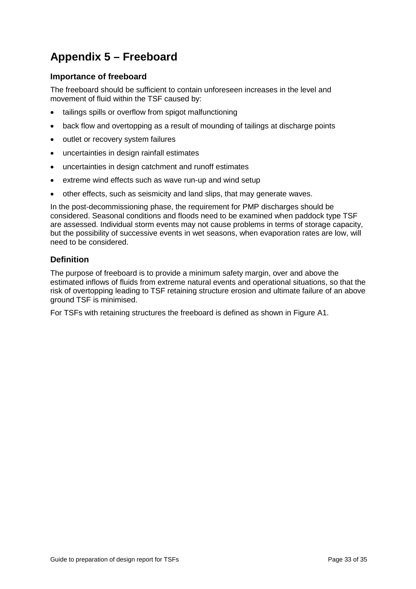# <span id="page-32-0"></span>**Appendix 5 – Freeboard**

### **Importance of freeboard**

The freeboard should be sufficient to contain unforeseen increases in the level and movement of fluid within the TSF caused by:

- tailings spills or overflow from spigot malfunctioning
- back flow and overtopping as a result of mounding of tailings at discharge points
- outlet or recovery system failures
- uncertainties in design rainfall estimates
- uncertainties in design catchment and runoff estimates
- extreme wind effects such as wave run-up and wind setup
- other effects, such as seismicity and land slips, that may generate waves.

In the post-decommissioning phase, the requirement for PMP discharges should be considered. Seasonal conditions and floods need to be examined when paddock type TSF are assessed. Individual storm events may not cause problems in terms of storage capacity, but the possibility of successive events in wet seasons, when evaporation rates are low, will need to be considered.

#### **Definition**

The purpose of freeboard is to provide a minimum safety margin, over and above the estimated inflows of fluids from extreme natural events and operational situations, so that the risk of overtopping leading to TSF retaining structure erosion and ultimate failure of an above ground TSF is minimised.

For TSFs with retaining structures the freeboard is defined as shown in Figure A1.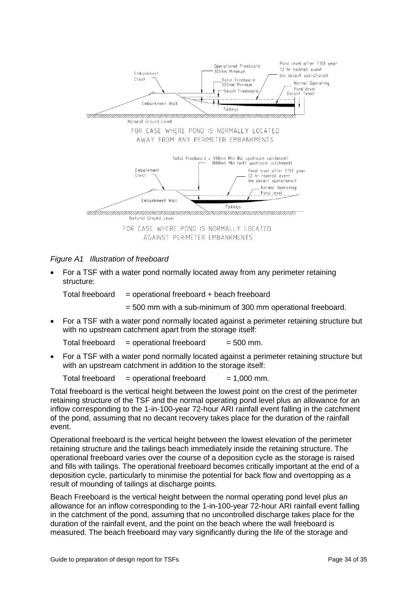

#### *Figure A1 Illustration of freeboard*

• For a TSF with a water pond normally located away from any perimeter retaining structure:

Total freeboard  $=$  operational freeboard + beach freeboard

= 500 mm with a sub-minimum of 300 mm operational freeboard.

• For a TSF with a water pond normally located against a perimeter retaining structure but with no upstream catchment apart from the storage itself:

Total freeboard  $=$  operational freeboard  $=$  500 mm.

• For a TSF with a water pond normally located against a perimeter retaining structure but with an upstream catchment in addition to the storage itself:

Total freeboard  $=$  operational freeboard  $= 1,000$  mm.

Total freeboard is the vertical height between the lowest point on the crest of the perimeter retaining structure of the TSF and the normal operating pond level plus an allowance for an inflow corresponding to the 1-in-100-year 72-hour ARI rainfall event falling in the catchment of the pond, assuming that no decant recovery takes place for the duration of the rainfall event.

Operational freeboard is the vertical height between the lowest elevation of the perimeter retaining structure and the tailings beach immediately inside the retaining structure. The operational freeboard varies over the course of a deposition cycle as the storage is raised and fills with tailings. The operational freeboard becomes critically important at the end of a deposition cycle, particularly to minimise the potential for back flow and overtopping as a result of mounding of tailings at discharge points.

Beach Freeboard is the vertical height between the normal operating pond level plus an allowance for an inflow corresponding to the 1-in-100-year 72-hour ARI rainfall event falling in the catchment of the pond, assuming that no uncontrolled discharge takes place for the duration of the rainfall event, and the point on the beach where the wall freeboard is measured. The beach freeboard may vary significantly during the life of the storage and